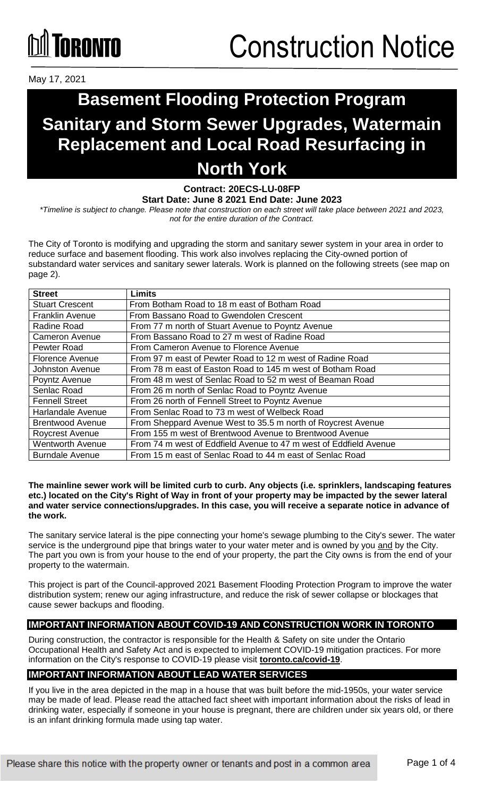# **ÍNRANTA**

May 17, 2021

### **Basement Flooding Protection Program Sanitary and Storm Sewer Upgrades, Watermain Replacement and Local Road Resurfacing in North York**

**Contract: 20ECS-LU-08FP**

**Start Date: June 8 2021 End Date: June 2023**

*\*Timeline is subject to change. Please note that construction on each street will take place between 2021 and 2023, not for the entire duration of the Contract.* 

The City of Toronto is modifying and upgrading the storm and sanitary sewer system in your area in order to reduce surface and basement flooding. This work also involves replacing the City-owned portion of substandard water services and sanitary sewer laterals. Work is planned on the following streets (see map on page 2).

| <b>Street</b>           | <b>Limits</b>                                                     |
|-------------------------|-------------------------------------------------------------------|
| <b>Stuart Crescent</b>  | From Botham Road to 18 m east of Botham Road                      |
| <b>Franklin Avenue</b>  | From Bassano Road to Gwendolen Crescent                           |
| Radine Road             | From 77 m north of Stuart Avenue to Poyntz Avenue                 |
| <b>Cameron Avenue</b>   | From Bassano Road to 27 m west of Radine Road                     |
| Pewter Road             | From Cameron Avenue to Florence Avenue                            |
| Florence Avenue         | From 97 m east of Pewter Road to 12 m west of Radine Road         |
| Johnston Avenue         | From 78 m east of Easton Road to 145 m west of Botham Road        |
| Poyntz Avenue           | From 48 m west of Senlac Road to 52 m west of Beaman Road         |
| Senlac Road             | From 26 m north of Senlac Road to Poyntz Avenue                   |
| <b>Fennell Street</b>   | From 26 north of Fennell Street to Poyntz Avenue                  |
| Harlandale Avenue       | From Senlac Road to 73 m west of Welbeck Road                     |
| <b>Brentwood Avenue</b> | From Sheppard Avenue West to 35.5 m north of Roycrest Avenue      |
| Roycrest Avenue         | From 155 m west of Brentwood Avenue to Brentwood Avenue           |
| <b>Wentworth Avenue</b> | From 74 m west of Eddfield Avenue to 47 m west of Eddfield Avenue |
| <b>Burndale Avenue</b>  | From 15 m east of Senlac Road to 44 m east of Senlac Road         |

#### **The mainline sewer work will be limited curb to curb. Any objects (i.e. sprinklers, landscaping features etc.) located on the City's Right of Way in front of your property may be impacted by the sewer lateral and water service connections/upgrades. In this case, you will receive a separate notice in advance of the work.**

The sanitary service lateral is the pipe connecting your home's sewage plumbing to the City's sewer. The water service is the underground pipe that brings water to your water meter and is owned by you and by the City. The part you own is from your house to the end of your property, the part the City owns is from the end of your property to the watermain.

This project is part of the Council-approved 2021 Basement Flooding Protection Program to improve the water distribution system; renew our aging infrastructure, and reduce the risk of sewer collapse or blockages that cause sewer backups and flooding.

#### **IMPORTANT INFORMATION ABOUT COVID-19 AND CONSTRUCTION WORK IN TORONTO**

During construction, the contractor is responsible for the Health & Safety on site under the Ontario Occupational Health and Safety Act and is expected to implement COVID-19 mitigation practices. For more information on the City's response to COVID-19 please visit **[toronto.ca/covid-19](http://www.toronto.ca/covid-19)**.

#### **IMPORTANT INFORMATION ABOUT LEAD WATER SERVICES**

If you live in the area depicted in the map in a house that was built before the mid-1950s, your water service may be made of lead. Please read the attached fact sheet with important information about the risks of lead in drinking water, especially if someone in your house is pregnant, there are children under six years old, or there is an infant drinking formula made using tap water.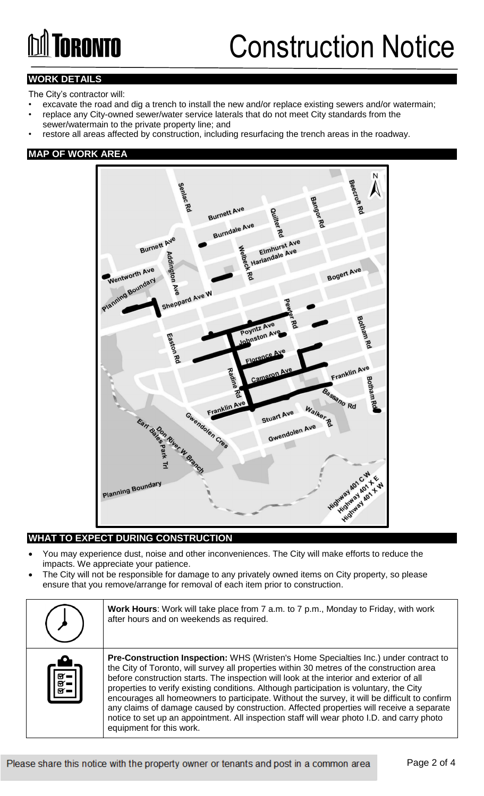# **M** TORONTO

### Construction Notice

#### **WORK DETAILS**

The City's contractor will:

- excavate the road and dig a trench to install the new and/or replace existing sewers and/or watermain; • replace any City-owned sewer/water service laterals that do not meet City standards from the sewer/watermain to the private property line; and
- restore all areas affected by construction, including resurfacing the trench areas in the roadway.

#### **MAP OF WORK AREA**



#### **WHAT TO EXPECT DURING CONSTRUCTION**

- You may experience dust, noise and other inconveniences. The City will make efforts to reduce the impacts. We appreciate your patience.
- The City will not be responsible for damage to any privately owned items on City property, so please ensure that you remove/arrange for removal of each item prior to construction.

|                                                                                                         | Work Hours: Work will take place from 7 a.m. to 7 p.m., Monday to Friday, with work<br>after hours and on weekends as required.                                                                                                                                                                                                                                                                                                                                                                                                                                                                                                                                                                 |
|---------------------------------------------------------------------------------------------------------|-------------------------------------------------------------------------------------------------------------------------------------------------------------------------------------------------------------------------------------------------------------------------------------------------------------------------------------------------------------------------------------------------------------------------------------------------------------------------------------------------------------------------------------------------------------------------------------------------------------------------------------------------------------------------------------------------|
| $\begin{bmatrix} \overline{\mathbb{R}} \\ \overline{\mathbb{R}} \\ \overline{\mathbb{R}} \end{bmatrix}$ | Pre-Construction Inspection: WHS (Wristen's Home Specialties Inc.) under contract to<br>the City of Toronto, will survey all properties within 30 metres of the construction area<br>before construction starts. The inspection will look at the interior and exterior of all<br>properties to verify existing conditions. Although participation is voluntary, the City<br>encourages all homeowners to participate. Without the survey, it will be difficult to confirm<br>any claims of damage caused by construction. Affected properties will receive a separate<br>notice to set up an appointment. All inspection staff will wear photo I.D. and carry photo<br>equipment for this work. |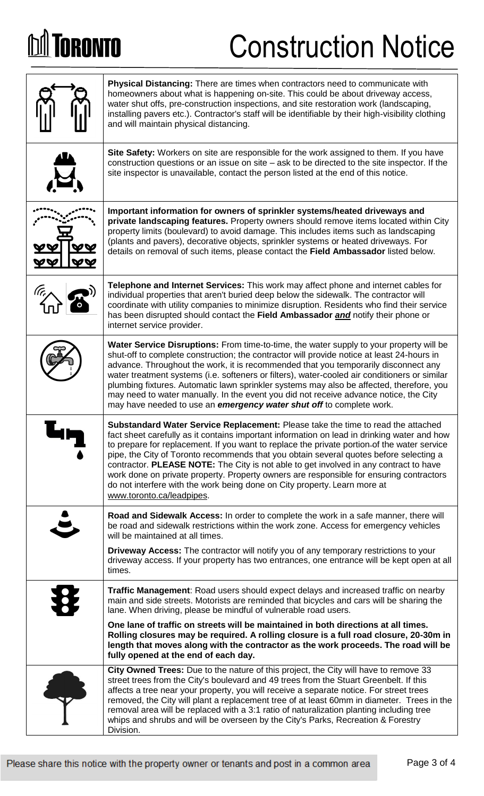# **M** TORONTO

# Construction Notice

| Physical Distancing: There are times when contractors need to communicate with<br>homeowners about what is happening on-site. This could be about driveway access,<br>water shut offs, pre-construction inspections, and site restoration work (landscaping,<br>installing pavers etc.). Contractor's staff will be identifiable by their high-visibility clothing<br>and will maintain physical distancing.                                                                                                                                                                                                                                                           |
|------------------------------------------------------------------------------------------------------------------------------------------------------------------------------------------------------------------------------------------------------------------------------------------------------------------------------------------------------------------------------------------------------------------------------------------------------------------------------------------------------------------------------------------------------------------------------------------------------------------------------------------------------------------------|
| Site Safety: Workers on site are responsible for the work assigned to them. If you have<br>construction questions or an issue on site – ask to be directed to the site inspector. If the<br>site inspector is unavailable, contact the person listed at the end of this notice.                                                                                                                                                                                                                                                                                                                                                                                        |
| Important information for owners of sprinkler systems/heated driveways and<br>private landscaping features. Property owners should remove items located within City<br>property limits (boulevard) to avoid damage. This includes items such as landscaping<br>(plants and pavers), decorative objects, sprinkler systems or heated driveways. For<br>details on removal of such items, please contact the Field Ambassador listed below.                                                                                                                                                                                                                              |
| Telephone and Internet Services: This work may affect phone and internet cables for<br>individual properties that aren't buried deep below the sidewalk. The contractor will<br>coordinate with utility companies to minimize disruption. Residents who find their service<br>has been disrupted should contact the Field Ambassador and notify their phone or<br>internet service provider.                                                                                                                                                                                                                                                                           |
| <b>Water Service Disruptions:</b> From time-to-time, the water supply to your property will be<br>shut-off to complete construction; the contractor will provide notice at least 24-hours in<br>advance. Throughout the work, it is recommended that you temporarily disconnect any<br>water treatment systems (i.e. softeners or filters), water-cooled air conditioners or similar<br>plumbing fixtures. Automatic lawn sprinkler systems may also be affected, therefore, you<br>may need to water manually. In the event you did not receive advance notice, the City<br>may have needed to use an <i>emergency water shut off</i> to complete work.               |
| Substandard Water Service Replacement: Please take the time to read the attached<br>fact sheet carefully as it contains important information on lead in drinking water and how<br>to prepare for replacement. If you want to replace the private portion-of the water service<br>pipe, the City of Toronto recommends that you obtain several quotes before selecting a<br>contractor. PLEASE NOTE: The City is not able to get involved in any contract to have<br>work done on private property. Property owners are responsible for ensuring contractors<br>do not interfere with the work being done on City property. Learn more at<br>www.toronto.ca/leadpipes. |
| Road and Sidewalk Access: In order to complete the work in a safe manner, there will<br>be road and sidewalk restrictions within the work zone. Access for emergency vehicles<br>will be maintained at all times.                                                                                                                                                                                                                                                                                                                                                                                                                                                      |
| <b>Driveway Access:</b> The contractor will notify you of any temporary restrictions to your<br>driveway access. If your property has two entrances, one entrance will be kept open at all<br>times.                                                                                                                                                                                                                                                                                                                                                                                                                                                                   |
| Traffic Management: Road users should expect delays and increased traffic on nearby<br>main and side streets. Motorists are reminded that bicycles and cars will be sharing the<br>lane. When driving, please be mindful of vulnerable road users.                                                                                                                                                                                                                                                                                                                                                                                                                     |
| One lane of traffic on streets will be maintained in both directions at all times.<br>Rolling closures may be required. A rolling closure is a full road closure, 20-30m in<br>length that moves along with the contractor as the work proceeds. The road will be<br>fully opened at the end of each day.                                                                                                                                                                                                                                                                                                                                                              |
| City Owned Trees: Due to the nature of this project, the City will have to remove 33<br>street trees from the City's boulevard and 49 trees from the Stuart Greenbelt. If this<br>affects a tree near your property, you will receive a separate notice. For street trees<br>removed, the City will plant a replacement tree of at least 60mm in diameter. Trees in the<br>removal area will be replaced with a 3:1 ratio of naturalization planting including tree<br>whips and shrubs and will be overseen by the City's Parks, Recreation & Forestry<br>Division.                                                                                                   |